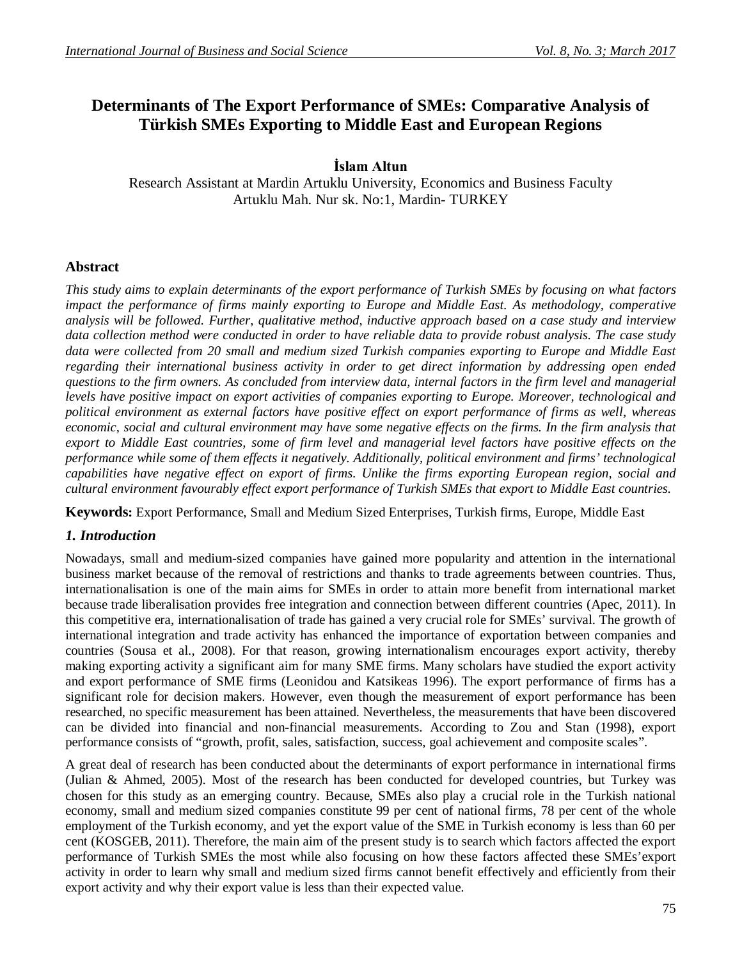# **Determinants of The Export Performance of SMEs: Comparative Analysis of Türkish SMEs Exporting to Middle East and European Regions**

# **İslam Altun**

Research Assistant at Mardin Artuklu University, Economics and Business Faculty Artuklu Mah. Nur sk. No:1, Mardin- TURKEY

# **Abstract**

*This study aims to explain determinants of the export performance of Turkish SMEs by focusing on what factors impact the performance of firms mainly exporting to Europe and Middle East. As methodology, comperative analysis will be followed. Further, qualitative method, inductive approach based on a case study and interview data collection method were conducted in order to have reliable data to provide robust analysis. The case study data were collected from 20 small and medium sized Turkish companies exporting to Europe and Middle East regarding their international business activity in order to get direct information by addressing open ended questions to the firm owners. As concluded from interview data, internal factors in the firm level and managerial levels have positive impact on export activities of companies exporting to Europe. Moreover, technological and political environment as external factors have positive effect on export performance of firms as well, whereas economic, social and cultural environment may have some negative effects on the firms. In the firm analysis that export to Middle East countries, some of firm level and managerial level factors have positive effects on the performance while some of them effects it negatively. Additionally, political environment and firms' technological capabilities have negative effect on export of firms. Unlike the firms exporting European region, social and cultural environment favourably effect export performance of Turkish SMEs that export to Middle East countries.*

**Keywords:** Export Performance, Small and Medium Sized Enterprises, Turkish firms, Europe, Middle East

# *1. Introduction*

Nowadays, small and medium-sized companies have gained more popularity and attention in the international business market because of the removal of restrictions and thanks to trade agreements between countries. Thus, internationalisation is one of the main aims for SMEs in order to attain more benefit from international market because trade liberalisation provides free integration and connection between different countries (Apec, 2011). In this competitive era, internationalisation of trade has gained a very crucial role for SMEs' survival. The growth of international integration and trade activity has enhanced the importance of exportation between companies and countries (Sousa et al., 2008). For that reason, growing internationalism encourages export activity, thereby making exporting activity a significant aim for many SME firms. Many scholars have studied the export activity and export performance of SME firms (Leonidou and Katsikeas 1996). The export performance of firms has a significant role for decision makers. However, even though the measurement of export performance has been researched, no specific measurement has been attained. Nevertheless, the measurements that have been discovered can be divided into financial and non-financial measurements. According to Zou and Stan (1998), export performance consists of "growth, profit, sales, satisfaction, success, goal achievement and composite scales".

A great deal of research has been conducted about the determinants of export performance in international firms (Julian & Ahmed, 2005). Most of the research has been conducted for developed countries, but Turkey was chosen for this study as an emerging country. Because, SMEs also play a crucial role in the Turkish national economy, small and medium sized companies constitute 99 per cent of national firms, 78 per cent of the whole employment of the Turkish economy, and yet the export value of the SME in Turkish economy is less than 60 per cent (KOSGEB, 2011). Therefore, the main aim of the present study is to search which factors affected the export performance of Turkish SMEs the most while also focusing on how these factors affected these SMEs'export activity in order to learn why small and medium sized firms cannot benefit effectively and efficiently from their export activity and why their export value is less than their expected value.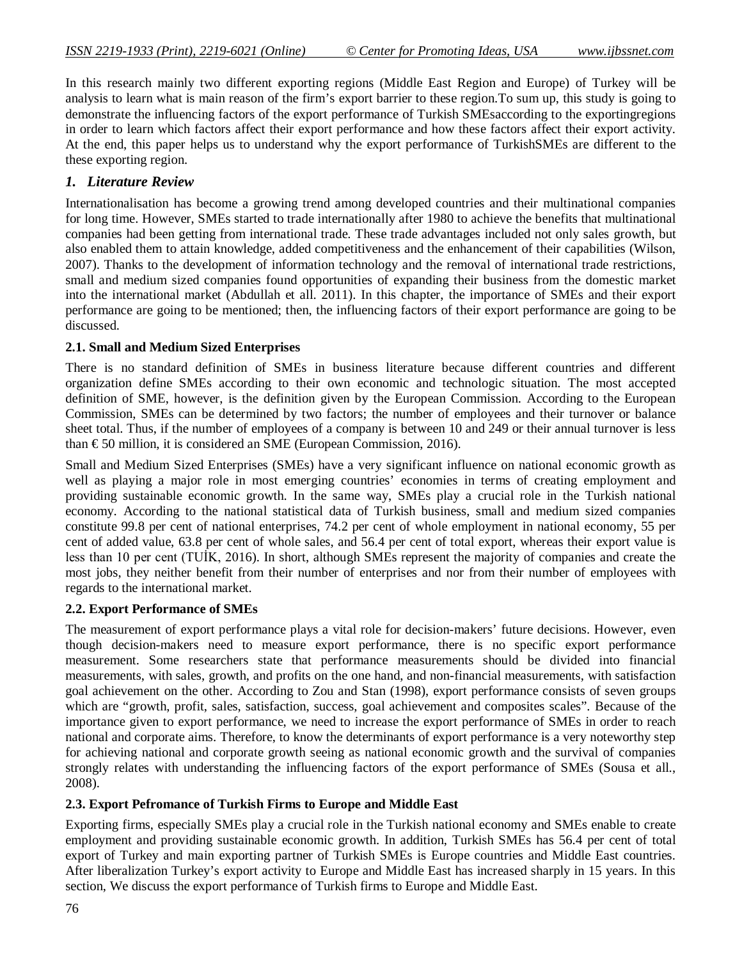In this research mainly two different exporting regions (Middle East Region and Europe) of Turkey will be analysis to learn what is main reason of the firm's export barrier to these region.To sum up, this study is going to demonstrate the influencing factors of the export performance of Turkish SMEsaccording to the exportingregions in order to learn which factors affect their export performance and how these factors affect their export activity. At the end, this paper helps us to understand why the export performance of TurkishSMEs are different to the these exporting region.

# *1. Literature Review*

Internationalisation has become a growing trend among developed countries and their multinational companies for long time. However, SMEs started to trade internationally after 1980 to achieve the benefits that multinational companies had been getting from international trade. These trade advantages included not only sales growth, but also enabled them to attain knowledge, added competitiveness and the enhancement of their capabilities (Wilson, 2007). Thanks to the development of information technology and the removal of international trade restrictions, small and medium sized companies found opportunities of expanding their business from the domestic market into the international market (Abdullah et all. 2011). In this chapter, the importance of SMEs and their export performance are going to be mentioned; then, the influencing factors of their export performance are going to be discussed.

# **2.1. Small and Medium Sized Enterprises**

There is no standard definition of SMEs in business literature because different countries and different organization define SMEs according to their own economic and technologic situation. The most accepted definition of SME, however, is the definition given by the European Commission. According to the European Commission, SMEs can be determined by two factors; the number of employees and their turnover or balance sheet total. Thus, if the number of employees of a company is between 10 and 249 or their annual turnover is less than  $\epsilon$ 50 million, it is considered an SME (European Commission, 2016).

Small and Medium Sized Enterprises (SMEs) have a very significant influence on national economic growth as well as playing a major role in most emerging countries' economies in terms of creating employment and providing sustainable economic growth. In the same way, SMEs play a crucial role in the Turkish national economy. According to the national statistical data of Turkish business, small and medium sized companies constitute 99.8 per cent of national enterprises, 74.2 per cent of whole employment in national economy, 55 per cent of added value, 63.8 per cent of whole sales, and 56.4 per cent of total export, whereas their export value is less than 10 per cent (TUİK, 2016). In short, although SMEs represent the majority of companies and create the most jobs, they neither benefit from their number of enterprises and nor from their number of employees with regards to the international market.

## **2.2. Export Performance of SMEs**

The measurement of export performance plays a vital role for decision-makers' future decisions. However, even though decision-makers need to measure export performance, there is no specific export performance measurement. Some researchers state that performance measurements should be divided into financial measurements, with sales, growth, and profits on the one hand, and non-financial measurements, with satisfaction goal achievement on the other. According to Zou and Stan (1998), export performance consists of seven groups which are "growth, profit, sales, satisfaction, success, goal achievement and composites scales". Because of the importance given to export performance, we need to increase the export performance of SMEs in order to reach national and corporate aims. Therefore, to know the determinants of export performance is a very noteworthy step for achieving national and corporate growth seeing as national economic growth and the survival of companies strongly relates with understanding the influencing factors of the export performance of SMEs (Sousa et all., 2008).

## **2.3. Export Pefromance of Turkish Firms to Europe and Middle East**

Exporting firms, especially SMEs play a crucial role in the Turkish national economy and SMEs enable to create employment and providing sustainable economic growth. In addition, Turkish SMEs has 56.4 per cent of total export of Turkey and main exporting partner of Turkish SMEs is Europe countries and Middle East countries. After liberalization Turkey's export activity to Europe and Middle East has increased sharply in 15 years. In this section, We discuss the export performance of Turkish firms to Europe and Middle East.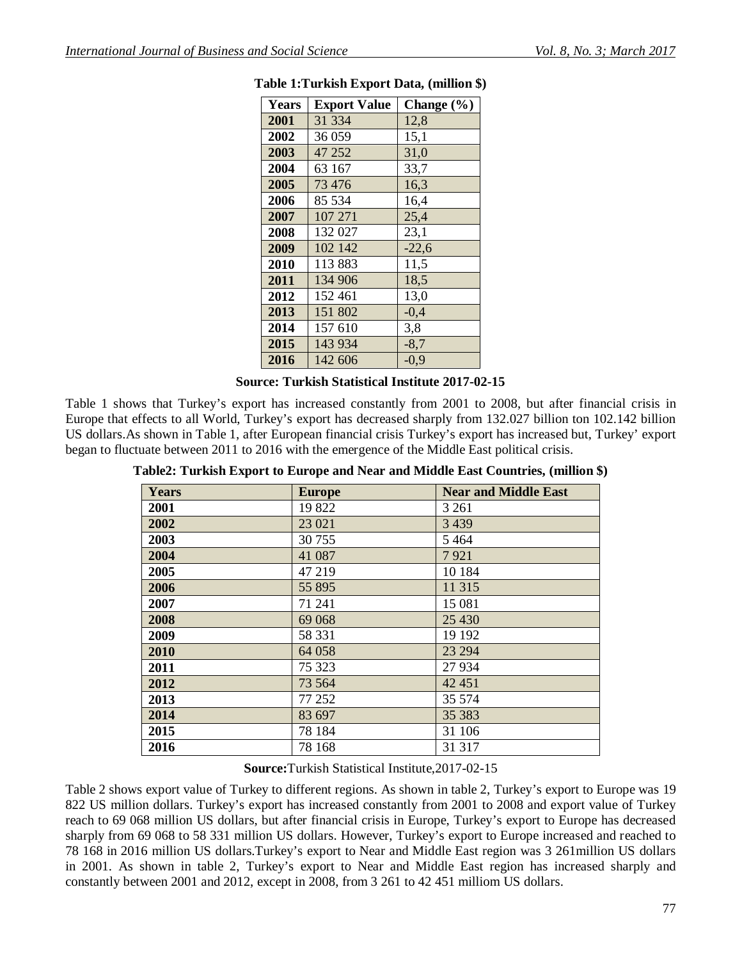| <b>Years</b> | <b>Export Value</b> | Change $(\% )$ |
|--------------|---------------------|----------------|
| 2001         | 31 334              | 12,8           |
| 2002         | 36 059              | 15,1           |
| 2003         | 47 252              | 31,0           |
| 2004         | 63 167              | 33,7           |
| 2005         | 73 476              | 16,3           |
| 2006         | 85 534              | 16,4           |
| 2007         | 107 271             | 25,4           |
| 2008         | 132 027             | 23,1           |
| 2009         | 102 142             | $-22,6$        |
| 2010         | 113 883             | 11,5           |
| 2011         | 134 906             | 18,5           |
| 2012         | 152 461             | 13,0           |
| 2013         | 151 802             | $-0,4$         |
| 2014         | 157 610             | 3,8            |
| 2015         | 143 934             | $-8,7$         |
| 2016         | 142 606             | $-0,9$         |

| Table 1: Turkish Export Data, (million \$) |  |  |  |
|--------------------------------------------|--|--|--|
|--------------------------------------------|--|--|--|

### **Source: Turkish Statistical Institute 2017-02-15**

Table 1 shows that Turkey's export has increased constantly from 2001 to 2008, but after financial crisis in Europe that effects to all World, Turkey's export has decreased sharply from 132.027 billion ton 102.142 billion US dollars.As shown in Table 1, after European financial crisis Turkey's export has increased but, Turkey' export began to fluctuate between 2011 to 2016 with the emergence of the Middle East political crisis.

| Table2: Turkish Export to Europe and Near and Middle East Countries, (million \$) |  |                            |  |
|-----------------------------------------------------------------------------------|--|----------------------------|--|
|                                                                                   |  | $\mathbf{M}$ <b>INTIDE</b> |  |

| <b>Years</b> | <b>Europe</b> | <b>Near and Middle East</b> |
|--------------|---------------|-----------------------------|
| 2001         | 19822         | 3 2 6 1                     |
| 2002         | 23 021        | 3 4 3 9                     |
| 2003         | 30 755        | 5 4 6 4                     |
| 2004         | 41 087        | 7921                        |
| 2005         | 47 219        | 10 184                      |
| 2006         | 55 895        | 11 315                      |
| 2007         | 71 241        | 15 081                      |
| 2008         | 69 068        | 25 4 30                     |
| 2009         | 58 331        | 19 19 2                     |
| 2010         | 64 058        | 23 294                      |
| 2011         | 75 323        | 27 934                      |
| 2012         | 73 5 64       | 42 451                      |
| 2013         | 77 252        | 35 574                      |
| 2014         | 83 697        | 35 38 3                     |
| 2015         | 78 184        | 31 106                      |
| 2016         | 78 168        | 31 317                      |

#### **Source:**Turkish Statistical Institute,2017-02-15

Table 2 shows export value of Turkey to different regions. As shown in table 2, Turkey's export to Europe was 19 822 US million dollars. Turkey's export has increased constantly from 2001 to 2008 and export value of Turkey reach to 69 068 million US dollars, but after financial crisis in Europe, Turkey's export to Europe has decreased sharply from 69 068 to 58 331 million US dollars. However, Turkey's export to Europe increased and reached to 78 168 in 2016 million US dollars.Turkey's export to Near and Middle East region was 3 261million US dollars in 2001. As shown in table 2, Turkey's export to Near and Middle East region has increased sharply and constantly between 2001 and 2012, except in 2008, from 3 261 to 42 451 milliom US dollars.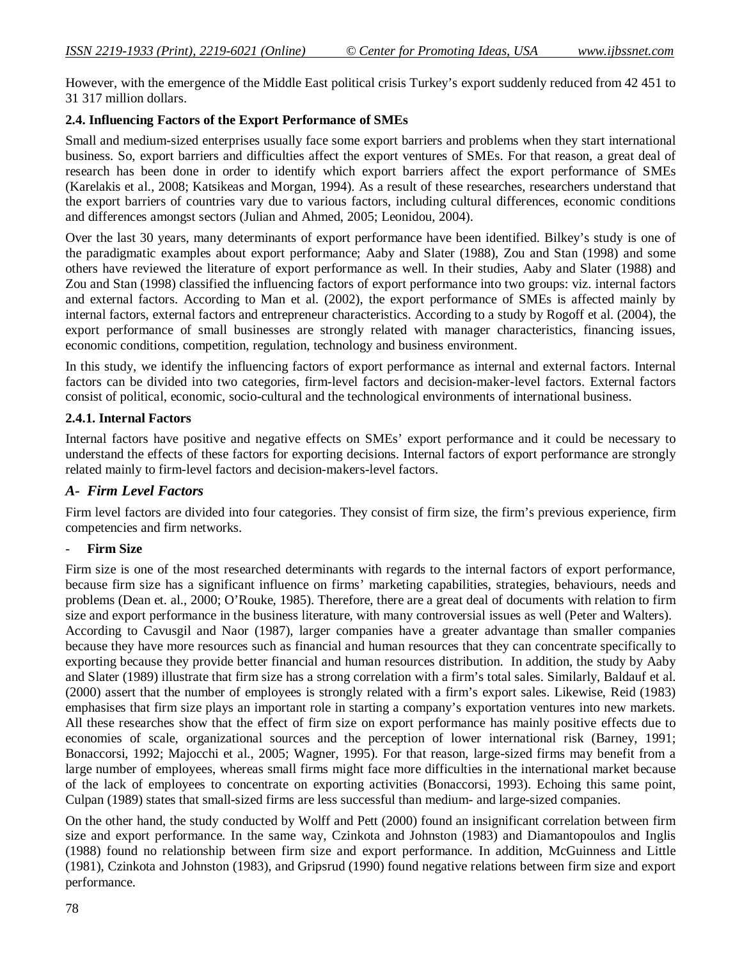However, with the emergence of the Middle East political crisis Turkey's export suddenly reduced from 42 451 to 31 317 million dollars.

### **2.4. Influencing Factors of the Export Performance of SMEs**

Small and medium-sized enterprises usually face some export barriers and problems when they start international business. So, export barriers and difficulties affect the export ventures of SMEs. For that reason, a great deal of research has been done in order to identify which export barriers affect the export performance of SMEs (Karelakis et al., 2008; Katsikeas and Morgan, 1994). As a result of these researches, researchers understand that the export barriers of countries vary due to various factors, including cultural differences, economic conditions and differences amongst sectors (Julian and Ahmed, 2005; Leonidou, 2004).

Over the last 30 years, many determinants of export performance have been identified. Bilkey's study is one of the paradigmatic examples about export performance; Aaby and Slater (1988), Zou and Stan (1998) and some others have reviewed the literature of export performance as well. In their studies, Aaby and Slater (1988) and Zou and Stan (1998) classified the influencing factors of export performance into two groups: viz. internal factors and external factors. According to Man et al. (2002), the export performance of SMEs is affected mainly by internal factors, external factors and entrepreneur characteristics. According to a study by Rogoff et al. (2004), the export performance of small businesses are strongly related with manager characteristics, financing issues, economic conditions, competition, regulation, technology and business environment.

In this study, we identify the influencing factors of export performance as internal and external factors. Internal factors can be divided into two categories, firm-level factors and decision-maker-level factors. External factors consist of political, economic, socio-cultural and the technological environments of international business.

#### **2.4.1. Internal Factors**

Internal factors have positive and negative effects on SMEs' export performance and it could be necessary to understand the effects of these factors for exporting decisions. Internal factors of export performance are strongly related mainly to firm-level factors and decision-makers-level factors.

#### *A- Firm Level Factors*

Firm level factors are divided into four categories. They consist of firm size, the firm's previous experience, firm competencies and firm networks.

### - **Firm Size**

Firm size is one of the most researched determinants with regards to the internal factors of export performance, because firm size has a significant influence on firms' marketing capabilities, strategies, behaviours, needs and problems (Dean et. al., 2000; O'Rouke, 1985). Therefore, there are a great deal of documents with relation to firm size and export performance in the business literature, with many controversial issues as well (Peter and Walters). According to Cavusgil and Naor (1987), larger companies have a greater advantage than smaller companies because they have more resources such as financial and human resources that they can concentrate specifically to exporting because they provide better financial and human resources distribution. In addition, the study by Aaby and Slater (1989) illustrate that firm size has a strong correlation with a firm's total sales. Similarly, Baldauf et al. (2000) assert that the number of employees is strongly related with a firm's export sales. Likewise, Reid (1983) emphasises that firm size plays an important role in starting a company's exportation ventures into new markets. All these researches show that the effect of firm size on export performance has mainly positive effects due to economies of scale, organizational sources and the perception of lower international risk (Barney, 1991; Bonaccorsi, 1992; Majocchi et al., 2005; Wagner, 1995). For that reason, large-sized firms may benefit from a large number of employees, whereas small firms might face more difficulties in the international market because of the lack of employees to concentrate on exporting activities (Bonaccorsi, 1993). Echoing this same point, Culpan (1989) states that small-sized firms are less successful than medium- and large-sized companies.

On the other hand, the study conducted by Wolff and Pett (2000) found an insignificant correlation between firm size and export performance. In the same way, Czinkota and Johnston (1983) and Diamantopoulos and Inglis (1988) found no relationship between firm size and export performance. In addition, McGuinness and Little (1981), Czinkota and Johnston (1983), and Gripsrud (1990) found negative relations between firm size and export performance.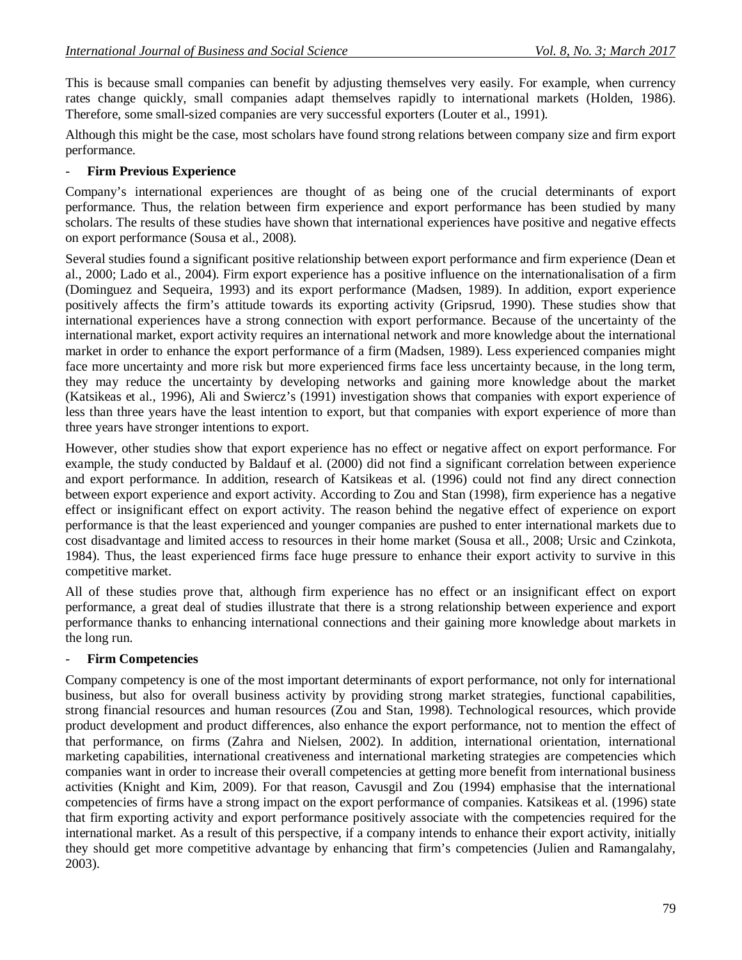This is because small companies can benefit by adjusting themselves very easily. For example, when currency rates change quickly, small companies adapt themselves rapidly to international markets (Holden, 1986). Therefore, some small-sized companies are very successful exporters (Louter et al., 1991).

Although this might be the case, most scholars have found strong relations between company size and firm export performance.

### - **Firm Previous Experience**

Company's international experiences are thought of as being one of the crucial determinants of export performance. Thus, the relation between firm experience and export performance has been studied by many scholars. The results of these studies have shown that international experiences have positive and negative effects on export performance (Sousa et al., 2008).

Several studies found a significant positive relationship between export performance and firm experience (Dean et al., 2000; Lado et al., 2004). Firm export experience has a positive influence on the internationalisation of a firm (Dominguez and Sequeira, 1993) and its export performance (Madsen, 1989). In addition, export experience positively affects the firm's attitude towards its exporting activity (Gripsrud, 1990). These studies show that international experiences have a strong connection with export performance. Because of the uncertainty of the international market, export activity requires an international network and more knowledge about the international market in order to enhance the export performance of a firm (Madsen, 1989). Less experienced companies might face more uncertainty and more risk but more experienced firms face less uncertainty because, in the long term, they may reduce the uncertainty by developing networks and gaining more knowledge about the market (Katsikeas et al., 1996), Ali and Swiercz's (1991) investigation shows that companies with export experience of less than three years have the least intention to export, but that companies with export experience of more than three years have stronger intentions to export.

However, other studies show that export experience has no effect or negative affect on export performance. For example, the study conducted by Baldauf et al. (2000) did not find a significant correlation between experience and export performance. In addition, research of Katsikeas et al. (1996) could not find any direct connection between export experience and export activity. According to Zou and Stan (1998), firm experience has a negative effect or insignificant effect on export activity. The reason behind the negative effect of experience on export performance is that the least experienced and younger companies are pushed to enter international markets due to cost disadvantage and limited access to resources in their home market (Sousa et all., 2008; Ursic and Czinkota, 1984). Thus, the least experienced firms face huge pressure to enhance their export activity to survive in this competitive market.

All of these studies prove that, although firm experience has no effect or an insignificant effect on export performance, a great deal of studies illustrate that there is a strong relationship between experience and export performance thanks to enhancing international connections and their gaining more knowledge about markets in the long run.

#### - **Firm Competencies**

Company competency is one of the most important determinants of export performance, not only for international business, but also for overall business activity by providing strong market strategies, functional capabilities, strong financial resources and human resources (Zou and Stan, 1998). Technological resources, which provide product development and product differences, also enhance the export performance, not to mention the effect of that performance, on firms (Zahra and Nielsen, 2002). In addition, international orientation, international marketing capabilities, international creativeness and international marketing strategies are competencies which companies want in order to increase their overall competencies at getting more benefit from international business activities (Knight and Kim, 2009). For that reason, Cavusgil and Zou (1994) emphasise that the international competencies of firms have a strong impact on the export performance of companies. Katsikeas et al. (1996) state that firm exporting activity and export performance positively associate with the competencies required for the international market. As a result of this perspective, if a company intends to enhance their export activity, initially they should get more competitive advantage by enhancing that firm's competencies (Julien and Ramangalahy, 2003).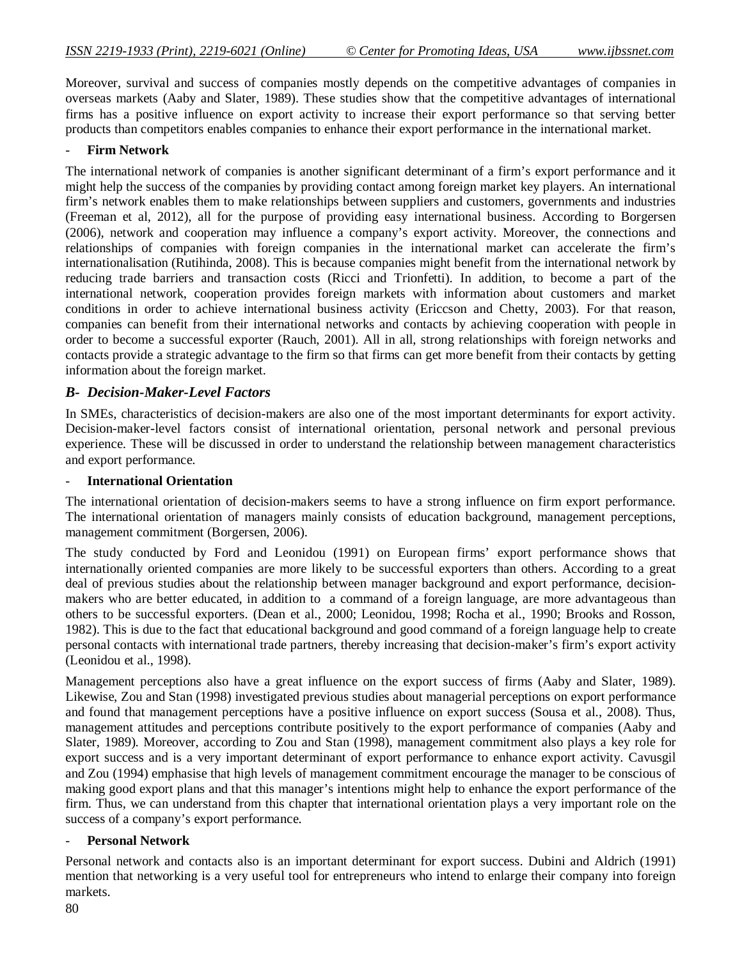Moreover, survival and success of companies mostly depends on the competitive advantages of companies in overseas markets (Aaby and Slater, 1989). These studies show that the competitive advantages of international firms has a positive influence on export activity to increase their export performance so that serving better products than competitors enables companies to enhance their export performance in the international market.

#### - **Firm Network**

The international network of companies is another significant determinant of a firm's export performance and it might help the success of the companies by providing contact among foreign market key players. An international firm's network enables them to make relationships between suppliers and customers, governments and industries (Freeman et al, 2012), all for the purpose of providing easy international business. According to Borgersen (2006), network and cooperation may influence a company's export activity. Moreover, the connections and relationships of companies with foreign companies in the international market can accelerate the firm's internationalisation (Rutihinda, 2008). This is because companies might benefit from the international network by reducing trade barriers and transaction costs (Ricci and Trionfetti). In addition, to become a part of the international network, cooperation provides foreign markets with information about customers and market conditions in order to achieve international business activity (Ericcson and Chetty, 2003). For that reason, companies can benefit from their international networks and contacts by achieving cooperation with people in order to become a successful exporter (Rauch, 2001). All in all, strong relationships with foreign networks and contacts provide a strategic advantage to the firm so that firms can get more benefit from their contacts by getting information about the foreign market.

### *B- Decision-Maker-Level Factors*

In SMEs, characteristics of decision-makers are also one of the most important determinants for export activity. Decision-maker-level factors consist of international orientation, personal network and personal previous experience. These will be discussed in order to understand the relationship between management characteristics and export performance.

#### - **International Orientation**

The international orientation of decision-makers seems to have a strong influence on firm export performance. The international orientation of managers mainly consists of education background, management perceptions, management commitment (Borgersen, 2006).

The study conducted by Ford and Leonidou (1991) on European firms' export performance shows that internationally oriented companies are more likely to be successful exporters than others. According to a great deal of previous studies about the relationship between manager background and export performance, decisionmakers who are better educated, in addition to a command of a foreign language, are more advantageous than others to be successful exporters. (Dean et al., 2000; Leonidou, 1998; Rocha et al., 1990; Brooks and Rosson, 1982). This is due to the fact that educational background and good command of a foreign language help to create personal contacts with international trade partners, thereby increasing that decision-maker's firm's export activity (Leonidou et al., 1998).

Management perceptions also have a great influence on the export success of firms (Aaby and Slater, 1989). Likewise, Zou and Stan (1998) investigated previous studies about managerial perceptions on export performance and found that management perceptions have a positive influence on export success (Sousa et al., 2008). Thus, management attitudes and perceptions contribute positively to the export performance of companies (Aaby and Slater, 1989). Moreover, according to Zou and Stan (1998), management commitment also plays a key role for export success and is a very important determinant of export performance to enhance export activity. Cavusgil and Zou (1994) emphasise that high levels of management commitment encourage the manager to be conscious of making good export plans and that this manager's intentions might help to enhance the export performance of the firm. Thus, we can understand from this chapter that international orientation plays a very important role on the success of a company's export performance.

#### - **Personal Network**

Personal network and contacts also is an important determinant for export success. Dubini and Aldrich (1991) mention that networking is a very useful tool for entrepreneurs who intend to enlarge their company into foreign markets.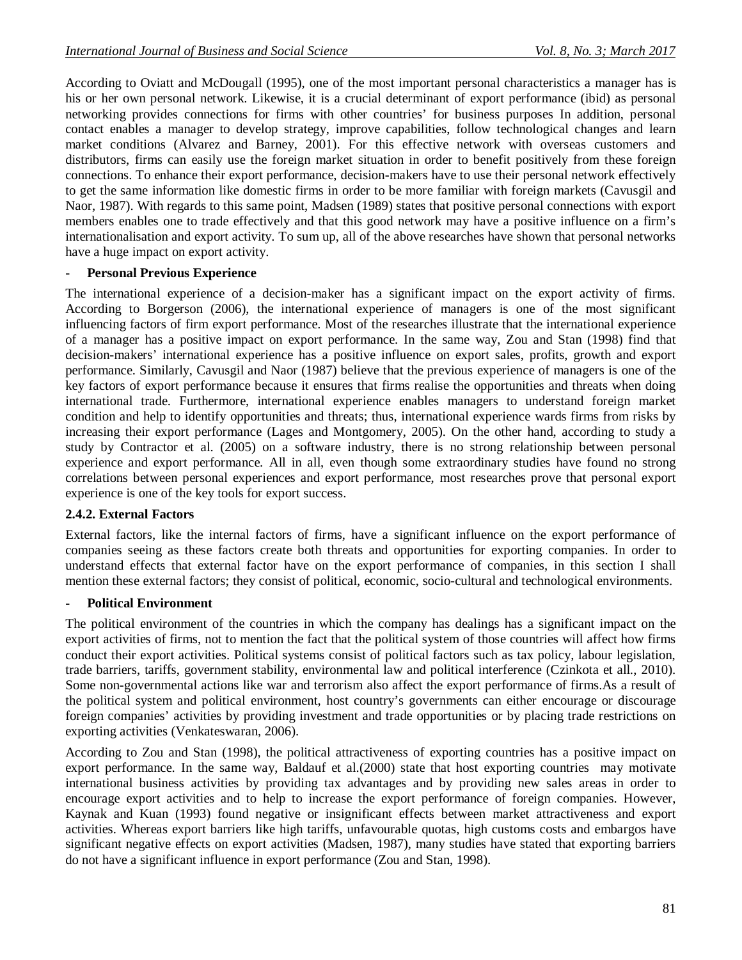According to Oviatt and McDougall (1995), one of the most important personal characteristics a manager has is his or her own personal network. Likewise, it is a crucial determinant of export performance (ibid) as personal networking provides connections for firms with other countries' for business purposes In addition, personal contact enables a manager to develop strategy, improve capabilities, follow technological changes and learn market conditions (Alvarez and Barney, 2001). For this effective network with overseas customers and distributors, firms can easily use the foreign market situation in order to benefit positively from these foreign connections. To enhance their export performance, decision-makers have to use their personal network effectively to get the same information like domestic firms in order to be more familiar with foreign markets (Cavusgil and Naor, 1987). With regards to this same point, Madsen (1989) states that positive personal connections with export members enables one to trade effectively and that this good network may have a positive influence on a firm's internationalisation and export activity. To sum up, all of the above researches have shown that personal networks have a huge impact on export activity.

### **Personal Previous Experience**

The international experience of a decision-maker has a significant impact on the export activity of firms. According to Borgerson (2006), the international experience of managers is one of the most significant influencing factors of firm export performance. Most of the researches illustrate that the international experience of a manager has a positive impact on export performance. In the same way, Zou and Stan (1998) find that decision-makers' international experience has a positive influence on export sales, profits, growth and export performance. Similarly, Cavusgil and Naor (1987) believe that the previous experience of managers is one of the key factors of export performance because it ensures that firms realise the opportunities and threats when doing international trade. Furthermore, international experience enables managers to understand foreign market condition and help to identify opportunities and threats; thus, international experience wards firms from risks by increasing their export performance (Lages and Montgomery, 2005). On the other hand, according to study a study by Contractor et al. (2005) on a software industry, there is no strong relationship between personal experience and export performance. All in all, even though some extraordinary studies have found no strong correlations between personal experiences and export performance, most researches prove that personal export experience is one of the key tools for export success.

#### **2.4.2. External Factors**

External factors, like the internal factors of firms, have a significant influence on the export performance of companies seeing as these factors create both threats and opportunities for exporting companies. In order to understand effects that external factor have on the export performance of companies, in this section I shall mention these external factors; they consist of political, economic, socio-cultural and technological environments.

### - **Political Environment**

The political environment of the countries in which the company has dealings has a significant impact on the export activities of firms, not to mention the fact that the political system of those countries will affect how firms conduct their export activities. Political systems consist of political factors such as tax policy, labour legislation, trade barriers, tariffs, government stability, environmental law and political interference (Czinkota et all., 2010). Some non-governmental actions like war and terrorism also affect the export performance of firms.As a result of the political system and political environment, host country's governments can either encourage or discourage foreign companies' activities by providing investment and trade opportunities or by placing trade restrictions on exporting activities (Venkateswaran, 2006).

According to Zou and Stan (1998), the political attractiveness of exporting countries has a positive impact on export performance. In the same way, Baldauf et al.(2000) state that host exporting countries may motivate international business activities by providing tax advantages and by providing new sales areas in order to encourage export activities and to help to increase the export performance of foreign companies. However, Kaynak and Kuan (1993) found negative or insignificant effects between market attractiveness and export activities. Whereas export barriers like high tariffs, unfavourable quotas, high customs costs and embargos have significant negative effects on export activities (Madsen, 1987), many studies have stated that exporting barriers do not have a significant influence in export performance (Zou and Stan, 1998).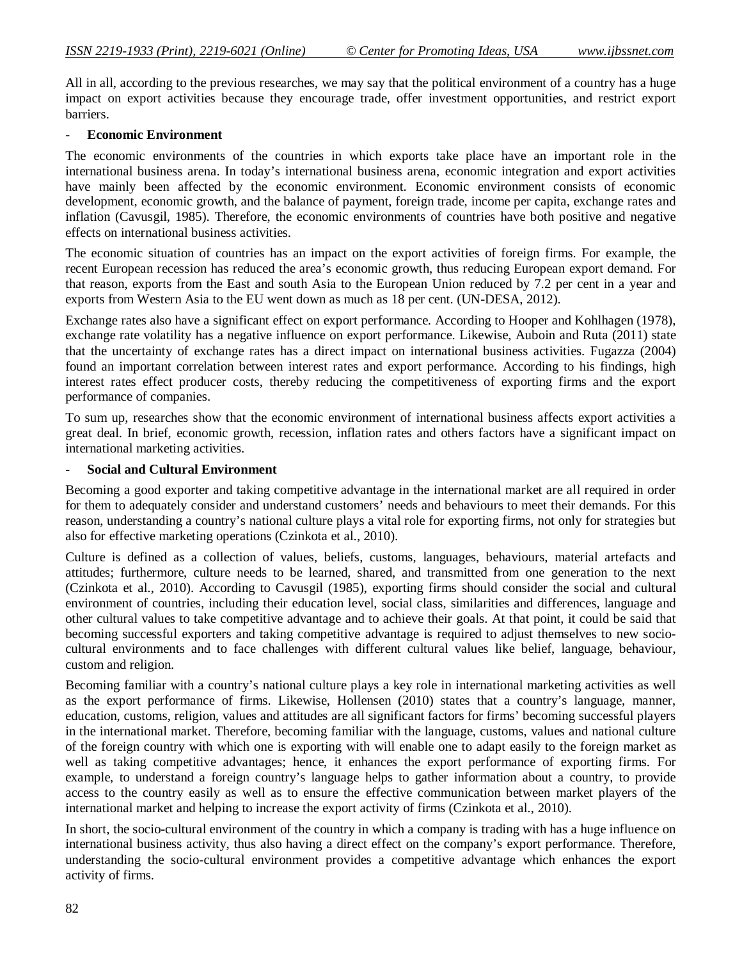All in all, according to the previous researches, we may say that the political environment of a country has a huge impact on export activities because they encourage trade, offer investment opportunities, and restrict export barriers.

#### - **Economic Environment**

The economic environments of the countries in which exports take place have an important role in the international business arena. In today's international business arena, economic integration and export activities have mainly been affected by the economic environment. Economic environment consists of economic development, economic growth, and the balance of payment, foreign trade, income per capita, exchange rates and inflation (Cavusgil, 1985). Therefore, the economic environments of countries have both positive and negative effects on international business activities.

The economic situation of countries has an impact on the export activities of foreign firms. For example, the recent European recession has reduced the area's economic growth, thus reducing European export demand. For that reason, exports from the East and south Asia to the European Union reduced by 7.2 per cent in a year and exports from Western Asia to the EU went down as much as 18 per cent. (UN-DESA, 2012).

Exchange rates also have a significant effect on export performance. According to Hooper and Kohlhagen (1978), exchange rate volatility has a negative influence on export performance. Likewise, Auboin and Ruta (2011) state that the uncertainty of exchange rates has a direct impact on international business activities. Fugazza (2004) found an important correlation between interest rates and export performance. According to his findings, high interest rates effect producer costs, thereby reducing the competitiveness of exporting firms and the export performance of companies.

To sum up, researches show that the economic environment of international business affects export activities a great deal. In brief, economic growth, recession, inflation rates and others factors have a significant impact on international marketing activities.

#### - **Social and Cultural Environment**

Becoming a good exporter and taking competitive advantage in the international market are all required in order for them to adequately consider and understand customers' needs and behaviours to meet their demands. For this reason, understanding a country's national culture plays a vital role for exporting firms, not only for strategies but also for effective marketing operations (Czinkota et al., 2010).

Culture is defined as a collection of values, beliefs, customs, languages, behaviours, material artefacts and attitudes; furthermore, culture needs to be learned, shared, and transmitted from one generation to the next (Czinkota et al., 2010). According to Cavusgil (1985), exporting firms should consider the social and cultural environment of countries, including their education level, social class, similarities and differences, language and other cultural values to take competitive advantage and to achieve their goals. At that point, it could be said that becoming successful exporters and taking competitive advantage is required to adjust themselves to new sociocultural environments and to face challenges with different cultural values like belief, language, behaviour, custom and religion.

Becoming familiar with a country's national culture plays a key role in international marketing activities as well as the export performance of firms. Likewise, Hollensen (2010) states that a country's language, manner, education, customs, religion, values and attitudes are all significant factors for firms' becoming successful players in the international market. Therefore, becoming familiar with the language, customs, values and national culture of the foreign country with which one is exporting with will enable one to adapt easily to the foreign market as well as taking competitive advantages; hence, it enhances the export performance of exporting firms. For example, to understand a foreign country's language helps to gather information about a country, to provide access to the country easily as well as to ensure the effective communication between market players of the international market and helping to increase the export activity of firms (Czinkota et al., 2010).

In short, the socio-cultural environment of the country in which a company is trading with has a huge influence on international business activity, thus also having a direct effect on the company's export performance. Therefore, understanding the socio-cultural environment provides a competitive advantage which enhances the export activity of firms.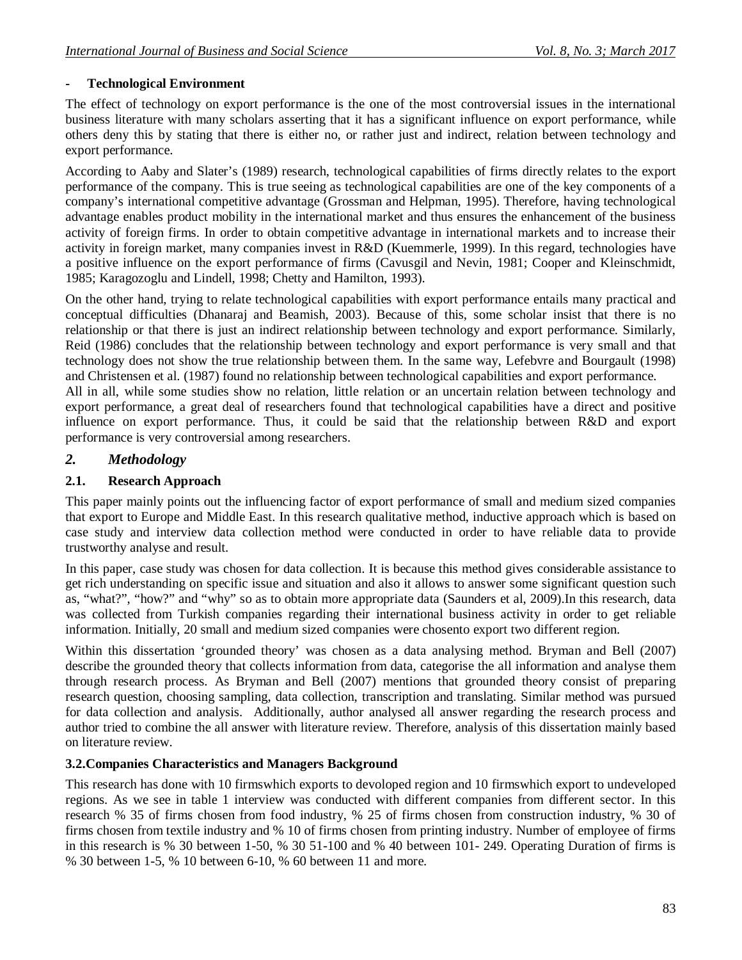# **- Technological Environment**

The effect of technology on export performance is the one of the most controversial issues in the international business literature with many scholars asserting that it has a significant influence on export performance, while others deny this by stating that there is either no, or rather just and indirect, relation between technology and export performance.

According to Aaby and Slater's (1989) research, technological capabilities of firms directly relates to the export performance of the company. This is true seeing as technological capabilities are one of the key components of a company's international competitive advantage (Grossman and Helpman, 1995). Therefore, having technological advantage enables product mobility in the international market and thus ensures the enhancement of the business activity of foreign firms. In order to obtain competitive advantage in international markets and to increase their activity in foreign market, many companies invest in R&D (Kuemmerle, 1999). In this regard, technologies have a positive influence on the export performance of firms (Cavusgil and Nevin, 1981; Cooper and Kleinschmidt, 1985; Karagozoglu and Lindell, 1998; Chetty and Hamilton, 1993).

On the other hand, trying to relate technological capabilities with export performance entails many practical and conceptual difficulties (Dhanaraj and Beamish, 2003). Because of this, some scholar insist that there is no relationship or that there is just an indirect relationship between technology and export performance. Similarly, Reid (1986) concludes that the relationship between technology and export performance is very small and that technology does not show the true relationship between them. In the same way, Lefebvre and Bourgault (1998) and Christensen et al. (1987) found no relationship between technological capabilities and export performance.

All in all, while some studies show no relation, little relation or an uncertain relation between technology and export performance, a great deal of researchers found that technological capabilities have a direct and positive influence on export performance. Thus, it could be said that the relationship between R&D and export performance is very controversial among researchers.

# *2. Methodology*

## **2.1. Research Approach**

This paper mainly points out the influencing factor of export performance of small and medium sized companies that export to Europe and Middle East. In this research qualitative method, inductive approach which is based on case study and interview data collection method were conducted in order to have reliable data to provide trustworthy analyse and result.

In this paper, case study was chosen for data collection. It is because this method gives considerable assistance to get rich understanding on specific issue and situation and also it allows to answer some significant question such as, "what?", "how?" and "why" so as to obtain more appropriate data (Saunders et al, 2009).In this research, data was collected from Turkish companies regarding their international business activity in order to get reliable information. Initially, 20 small and medium sized companies were chosento export two different region.

Within this dissertation 'grounded theory' was chosen as a data analysing method. Bryman and Bell (2007) describe the grounded theory that collects information from data, categorise the all information and analyse them through research process. As Bryman and Bell (2007) mentions that grounded theory consist of preparing research question, choosing sampling, data collection, transcription and translating. Similar method was pursued for data collection and analysis. Additionally, author analysed all answer regarding the research process and author tried to combine the all answer with literature review. Therefore, analysis of this dissertation mainly based on literature review.

## **3.2.Companies Characteristics and Managers Background**

This research has done with 10 firmswhich exports to devoloped region and 10 firmswhich export to undeveloped regions. As we see in table 1 interview was conducted with different companies from different sector. In this research % 35 of firms chosen from food industry, % 25 of firms chosen from construction industry, % 30 of firms chosen from textile industry and % 10 of firms chosen from printing industry. Number of employee of firms in this research is % 30 between 1-50, % 30 51-100 and % 40 between 101- 249. Operating Duration of firms is % 30 between 1-5, % 10 between 6-10, % 60 between 11 and more.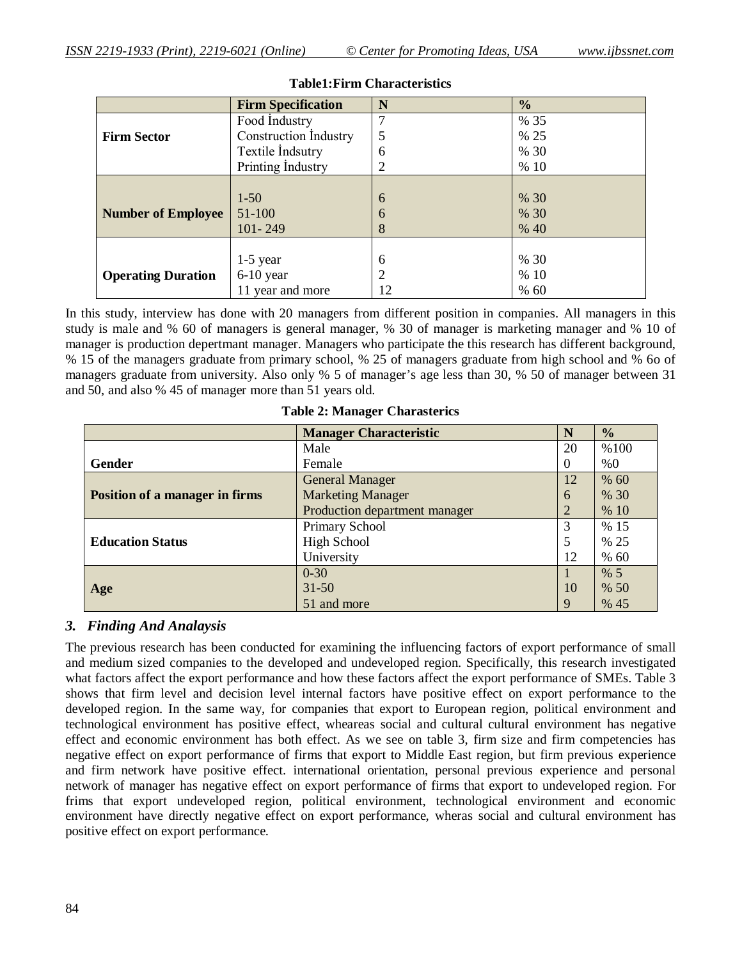|                           | <b>Firm Specification</b>    | N              | $\frac{0}{0}$ |
|---------------------------|------------------------------|----------------|---------------|
|                           | Food Industry                |                | % 35          |
| <b>Firm Sector</b>        | <b>Construction Industry</b> | 5              | % 25          |
|                           | Textile Indsutry             | 6              | % 30          |
|                           | Printing Industry            | $\overline{2}$ | %10           |
|                           |                              |                |               |
|                           | $1-50$                       | 6              | % 30          |
| <b>Number of Employee</b> | 51-100                       | 6              | % 30          |
|                           | $101 - 249$                  | 8              | % 40          |
|                           |                              |                |               |
|                           | $1-5$ year                   | 6              | % 30          |
| <b>Operating Duration</b> | $6-10$ year                  | $\overline{2}$ | %10           |
|                           | 11 year and more             | 12             | % 60          |

#### **Table1:Firm Characteristics**

In this study, interview has done with 20 managers from different position in companies. All managers in this study is male and % 60 of managers is general manager, % 30 of manager is marketing manager and % 10 of manager is production depertmant manager. Managers who participate the this research has different background, % 15 of the managers graduate from primary school, % 25 of managers graduate from high school and % 6o of managers graduate from university. Also only % 5 of manager's age less than 30, % 50 of manager between 31 and 50, and also % 45 of manager more than 51 years old.

|                                       | <b>Manager Characteristic</b> | N        | $\frac{1}{2}$ |
|---------------------------------------|-------------------------------|----------|---------------|
|                                       | Male                          | 20       | %100          |
| Gender                                | Female                        | $\theta$ | %0            |
|                                       | <b>General Manager</b>        | 12       | % 60          |
| <b>Position of a manager in firms</b> | <b>Marketing Manager</b>      | 6        | % 30          |
|                                       | Production department manager |          | % 10          |
|                                       | Primary School                |          | % 15          |
| <b>Education Status</b>               | <b>High School</b>            |          | % 25          |
|                                       | University                    | 12       | % 60          |
|                                       | $0 - 30$                      |          | % 5           |
| Age                                   | $31 - 50$                     | 10       | % 50          |
|                                       | 51 and more                   |          | % 45          |

**Table 2: Manager Charasterics**

#### *3. Finding And Analaysis*

The previous research has been conducted for examining the influencing factors of export performance of small and medium sized companies to the developed and undeveloped region. Specifically, this research investigated what factors affect the export performance and how these factors affect the export performance of SMEs. Table 3 shows that firm level and decision level internal factors have positive effect on export performance to the developed region. In the same way, for companies that export to European region, political environment and technological environment has positive effect, wheareas social and cultural cultural environment has negative effect and economic environment has both effect. As we see on table 3, firm size and firm competencies has negative effect on export performance of firms that export to Middle East region, but firm previous experience and firm network have positive effect. international orientation, personal previous experience and personal network of manager has negative effect on export performance of firms that export to undeveloped region. For frims that export undeveloped region, political environment, technological environment and economic environment have directly negative effect on export performance, wheras social and cultural environment has positive effect on export performance.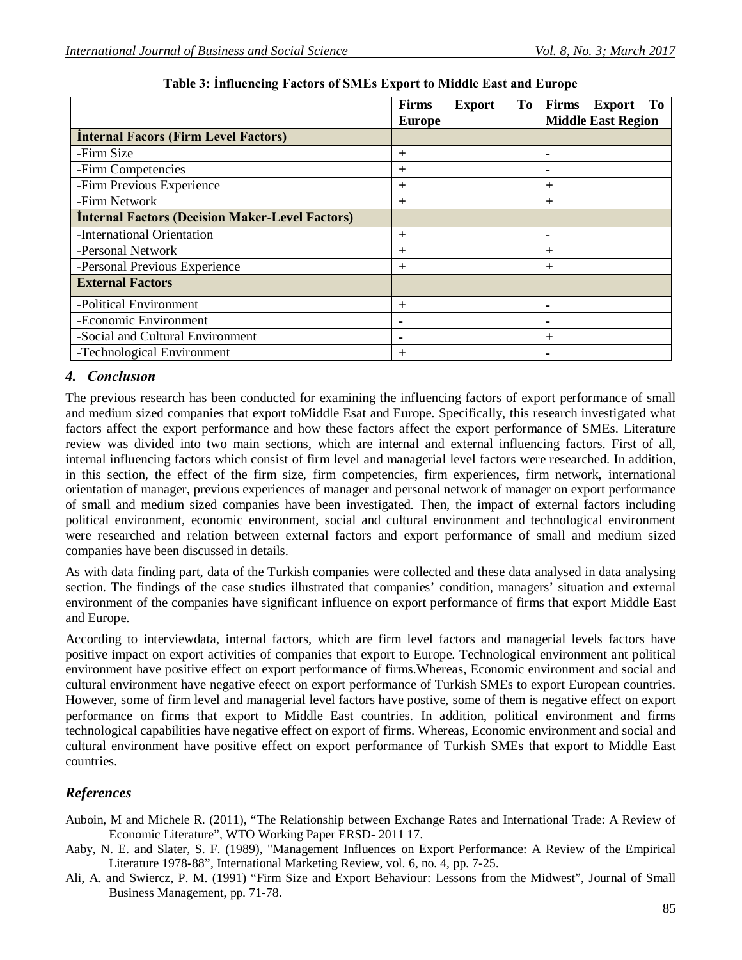|                                                        | <b>Firms</b><br>To<br><b>Export</b><br><b>Europe</b> | Firms<br>To<br><b>Export</b><br><b>Middle East Region</b> |
|--------------------------------------------------------|------------------------------------------------------|-----------------------------------------------------------|
| <b>Internal Facors (Firm Level Factors)</b>            |                                                      |                                                           |
| -Firm Size                                             | $^{+}$                                               |                                                           |
| -Firm Competencies                                     | $\pm$                                                | -                                                         |
| -Firm Previous Experience                              | $\pm$                                                | $\pm$                                                     |
| -Firm Network                                          | $^{+}$                                               | $^{+}$                                                    |
| <b>Internal Factors (Decision Maker-Level Factors)</b> |                                                      |                                                           |
| -International Orientation                             | $^{+}$                                               |                                                           |
| -Personal Network                                      | $\pm$                                                | $\pm$                                                     |
| -Personal Previous Experience                          | $^{+}$                                               | $^{+}$                                                    |
| <b>External Factors</b>                                |                                                      |                                                           |
| -Political Environment                                 | $^{+}$                                               |                                                           |
| -Economic Environment                                  |                                                      |                                                           |
| -Social and Cultural Environment                       |                                                      | $\pm$                                                     |
| -Technological Environment                             | $\pm$                                                |                                                           |

**Table 3: İnfluencing Factors of SMEs Export to Middle East and Europe**

# *4. Conclusıon*

The previous research has been conducted for examining the influencing factors of export performance of small and medium sized companies that export toMiddle Esat and Europe. Specifically, this research investigated what factors affect the export performance and how these factors affect the export performance of SMEs. Literature review was divided into two main sections, which are internal and external influencing factors. First of all, internal influencing factors which consist of firm level and managerial level factors were researched. In addition, in this section, the effect of the firm size, firm competencies, firm experiences, firm network, international orientation of manager, previous experiences of manager and personal network of manager on export performance of small and medium sized companies have been investigated. Then, the impact of external factors including political environment, economic environment, social and cultural environment and technological environment were researched and relation between external factors and export performance of small and medium sized companies have been discussed in details.

As with data finding part, data of the Turkish companies were collected and these data analysed in data analysing section. The findings of the case studies illustrated that companies' condition, managers' situation and external environment of the companies have significant influence on export performance of firms that export Middle East and Europe.

According to interviewdata, internal factors, which are firm level factors and managerial levels factors have positive impact on export activities of companies that export to Europe. Technological environment ant political environment have positive effect on export performance of firms.Whereas, Economic environment and social and cultural environment have negative efeect on export performance of Turkish SMEs to export European countries. However, some of firm level and managerial level factors have postive, some of them is negative effect on export performance on firms that export to Middle East countries. In addition, political environment and firms technological capabilities have negative effect on export of firms. Whereas, Economic environment and social and cultural environment have positive effect on export performance of Turkish SMEs that export to Middle East countries.

# *References*

- Auboin, M and Michele R. (2011), "The Relationship between Exchange Rates and International Trade: A Review of Economic Literature", WTO Working Paper ERSD- 2011 17.
- Aaby, N. E. and Slater, S. F. (1989), "Management Influences on Export Performance: A Review of the Empirical Literature 1978-88", International Marketing Review, vol. 6, no. 4, pp. 7-25.
- Ali, A. and Swiercz, P. M. (1991) "Firm Size and Export Behaviour: Lessons from the Midwest", Journal of Small Business Management, pp. 71-78.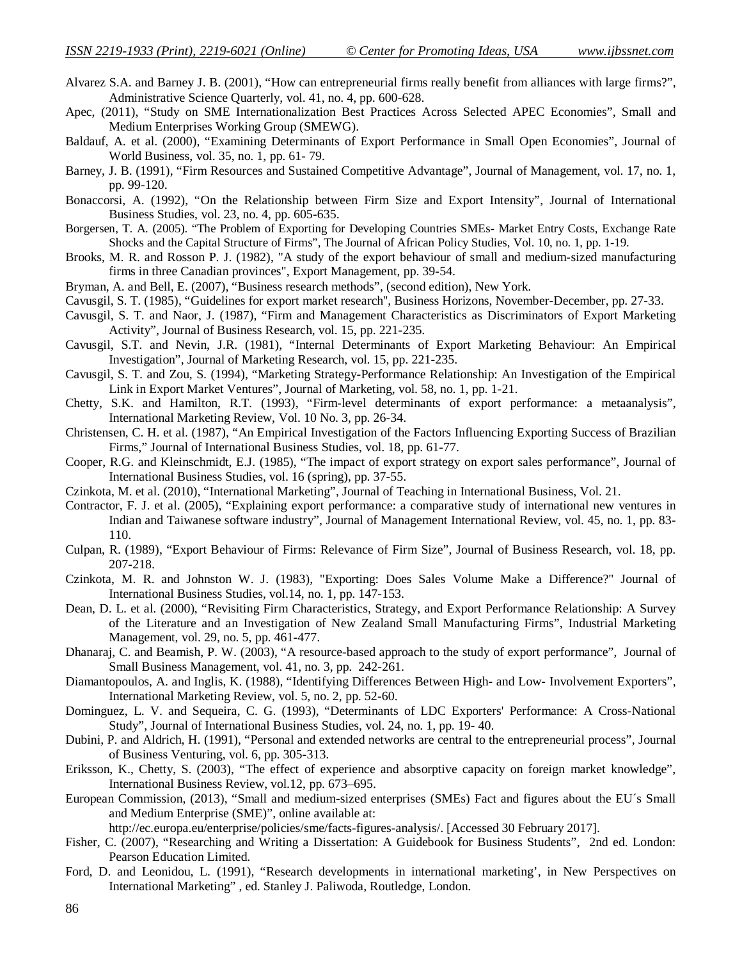- Alvarez S.A. and Barney J. B. (2001), "How can entrepreneurial firms really benefit from alliances with large firms?", Administrative Science Quarterly, vol. 41, no. 4, pp. 600-628.
- Apec, (2011), "Study on SME Internationalization Best Practices Across Selected APEC Economies", Small and Medium Enterprises Working Group (SMEWG).
- Baldauf, A. et al. (2000), "Examining Determinants of Export Performance in Small Open Economies", Journal of World Business, vol. 35, no. 1, pp. 61- 79.
- Barney, J. B. (1991), "Firm Resources and Sustained Competitive Advantage", Journal of Management, vol. 17, no. 1, pp. 99-120.
- Bonaccorsi, A. (1992), "On the Relationship between Firm Size and Export Intensity", Journal of International Business Studies, vol. 23, no. 4, pp. 605-635.
- Borgersen, T. A. (2005). "The Problem of Exporting for Developing Countries SMEs- Market Entry Costs, Exchange Rate Shocks and the Capital Structure of Firms", The Journal of African Policy Studies, Vol. 10, no. 1, pp. 1-19.
- Brooks, M. R. and Rosson P. J. (1982), "A study of the export behaviour of small and medium-sized manufacturing firms in three Canadian provinces", Export Management, pp. 39-54.
- Bryman, A. and Bell, E. (2007), "Business research methods", (second edition), New York.
- Cavusgil, S. T. (1985), "Guidelines for export market research'', Business Horizons, November-December, pp. 27-33.
- Cavusgil, S. T. and Naor, J. (1987), "Firm and Management Characteristics as Discriminators of Export Marketing Activity", Journal of Business Research, vol. 15, pp. 221-235.
- Cavusgil, S.T. and Nevin, J.R. (1981), "Internal Determinants of Export Marketing Behaviour: An Empirical Investigation", Journal of Marketing Research, vol. 15, pp. 221-235.
- Cavusgil, S. T. and Zou, S. (1994), "Marketing Strategy-Performance Relationship: An Investigation of the Empirical Link in Export Market Ventures", Journal of Marketing, vol. 58, no. 1, pp. 1-21.
- Chetty, S.K. and Hamilton, R.T. (1993), "Firm-level determinants of export performance: a metaanalysis", International Marketing Review, Vol. 10 No. 3, pp. 26-34.
- Christensen, C. H. et al. (1987), "An Empirical Investigation of the Factors Influencing Exporting Success of Brazilian Firms," Journal of International Business Studies, vol. 18, pp. 61-77.
- Cooper, R.G. and Kleinschmidt, E.J. (1985), "The impact of export strategy on export sales performance", Journal of International Business Studies, vol. 16 (spring), pp. 37-55.
- Czinkota, M. et al. (2010), "International Marketing", Journal of Teaching in International Business, Vol. 21.
- Contractor, F. J. et al. (2005), "Explaining export performance: a comparative study of international new ventures in Indian and Taiwanese software industry", Journal of Management International Review, vol. 45, no. 1, pp. 83- 110.
- Culpan, R. (1989), "Export Behaviour of Firms: Relevance of Firm Size", Journal of Business Research, vol. 18, pp. 207-218.
- Czinkota, M. R. and Johnston W. J. (1983), "Exporting: Does Sales Volume Make a Difference?" Journal of International Business Studies, vol.14, no. 1, pp. 147-153.
- Dean, D. L. et al. (2000), "Revisiting Firm Characteristics, Strategy, and Export Performance Relationship: A Survey of the Literature and an Investigation of New Zealand Small Manufacturing Firms", Industrial Marketing Management, vol. 29, no. 5, pp. 461-477.
- Dhanaraj, C. and Beamish, P. W. (2003), "A resource-based approach to the study of export performance", Journal of Small Business Management, vol. 41, no. 3, pp. 242-261.
- Diamantopoulos, A. and Inglis, K. (1988), "Identifying Differences Between High- and Low- Involvement Exporters", International Marketing Review, vol. 5, no. 2, pp. 52-60.
- Dominguez, L. V. and Sequeira, C. G. (1993), "Determinants of LDC Exporters' Performance: A Cross-National Study", Journal of International Business Studies, vol. 24, no. 1, pp. 19- 40.
- Dubini, P. and Aldrich, H. (1991), "Personal and extended networks are central to the entrepreneurial process", Journal of Business Venturing, vol. 6, pp. 305-313.
- Eriksson, K., Chetty, S. (2003), "The effect of experience and absorptive capacity on foreign market knowledge", International Business Review, vol.12, pp. 673–695.
- European Commission, (2013), "Small and medium-sized enterprises (SMEs) Fact and figures about the EU´s Small and Medium Enterprise (SME)", online available at:

http://ec.europa.eu/enterprise/policies/sme/facts-figures-analysis/. [Accessed 30 February 2017].

- Fisher, C. (2007), "Researching and Writing a Dissertation: A Guidebook for Business Students", 2nd ed. London: Pearson Education Limited.
- Ford, D. and Leonidou, L. (1991), "Research developments in international marketing', in New Perspectives on International Marketing" , ed. Stanley J. Paliwoda, Routledge, London.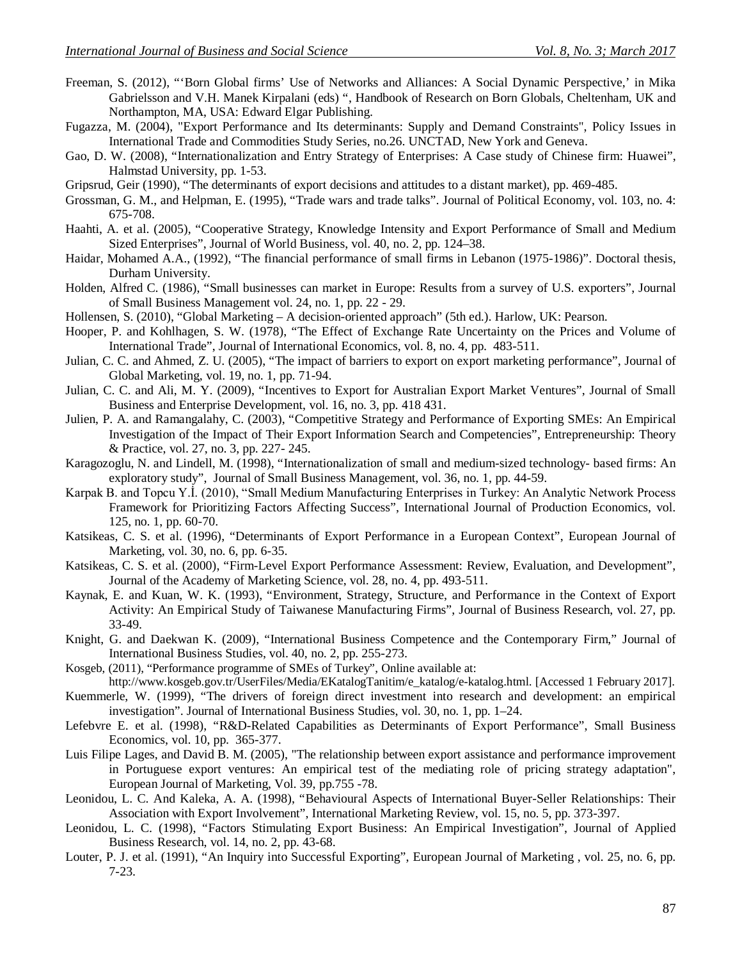- Freeman, S. (2012), "'Born Global firms' Use of Networks and Alliances: A Social Dynamic Perspective,' in Mika Gabrielsson and V.H. Manek Kirpalani (eds) ", Handbook of Research on Born Globals, Cheltenham, UK and Northampton, MA, USA: Edward Elgar Publishing.
- Fugazza, M. (2004), "Export Performance and Its determinants: Supply and Demand Constraints", Policy Issues in International Trade and Commodities Study Series, no.26. UNCTAD, New York and Geneva.
- Gao, D. W. (2008), "Internationalization and Entry Strategy of Enterprises: A Case study of Chinese firm: Huawei", Halmstad University, pp. 1-53.
- Gripsrud, Geir (1990), "The determinants of export decisions and attitudes to a distant market), pp. 469-485.
- Grossman, G. M., and Helpman, E. (1995), "Trade wars and trade talks". Journal of Political Economy, vol. 103, no. 4: 675-708.
- Haahti, A. et al. (2005), "Cooperative Strategy, Knowledge Intensity and Export Performance of Small and Medium Sized Enterprises", Journal of World Business, vol. 40, no. 2, pp. 124–38.
- Haidar, Mohamed A.A., (1992), "The financial performance of small firms in Lebanon (1975-1986)". Doctoral thesis, Durham University.
- Holden, Alfred C. (1986), "Small businesses can market in Europe: Results from a survey of U.S. exporters", Journal of Small Business Management vol. 24, no. 1, pp. 22 - 29.
- Hollensen, S. (2010), "Global Marketing A decision-oriented approach" (5th ed.). Harlow, UK: Pearson.
- Hooper, P. and Kohlhagen, S. W. (1978), "The Effect of Exchange Rate Uncertainty on the Prices and Volume of International Trade", Journal of International Economics, vol. 8, no. 4, pp. 483-511.
- Julian, C. C. and Ahmed, Z. U. (2005), "The impact of barriers to export on export marketing performance", Journal of Global Marketing, vol. 19, no. 1, pp. 71-94.
- Julian, C. C. and Ali, M. Y. (2009), "Incentives to Export for Australian Export Market Ventures", Journal of Small Business and Enterprise Development, vol. 16, no. 3, pp. 418 431.
- Julien, P. A. and Ramangalahy, C. (2003), "Competitive Strategy and Performance of Exporting SMEs: An Empirical Investigation of the Impact of Their Export Information Search and Competencies", Entrepreneurship: Theory & Practice, vol. 27, no. 3, pp. 227- 245.
- Karagozoglu, N. and Lindell, M. (1998), "Internationalization of small and medium-sized technology- based firms: An exploratory study", Journal of Small Business Management, vol. 36, no. 1, pp. 44-59.
- Karpak B. and Topcu Y.İ. (2010), "Small Medium Manufacturing Enterprises in Turkey: An Analytic Network Process Framework for Prioritizing Factors Affecting Success", International Journal of Production Economics, vol. 125, no. 1, pp. 60-70.
- Katsikeas, C. S. et al. (1996), "Determinants of Export Performance in a European Context", European Journal of Marketing, vol. 30, no. 6, pp. 6-35.
- Katsikeas, C. S. et al. (2000), "Firm-Level Export Performance Assessment: Review, Evaluation, and Development", Journal of the Academy of Marketing Science, vol. 28, no. 4, pp. 493-511.
- Kaynak, E. and Kuan, W. K. (1993), "Environment, Strategy, Structure, and Performance in the Context of Export Activity: An Empirical Study of Taiwanese Manufacturing Firms", Journal of Business Research, vol. 27, pp. 33-49.
- Knight, G. and Daekwan K. (2009), "International Business Competence and the Contemporary Firm," Journal of International Business Studies, vol. 40, no. 2, pp. 255-273.
- Kosgeb, (2011), "Performance programme of SMEs of Turkey", Online available at:
- http://www.kosgeb.gov.tr/UserFiles/Media/EKatalogTanitim/e\_katalog/e-katalog.html. [Accessed 1 February 2017]. Kuemmerle, W. (1999), "The drivers of foreign direct investment into research and development: an empirical
- investigation". Journal of International Business Studies, vol. 30, no. 1, pp. 1–24.
- Lefebvre E. et al. (1998), "R&D-Related Capabilities as Determinants of Export Performance", Small Business Economics, vol. 10, pp. 365-377.
- Luis Filipe Lages, and David B. M. (2005), "The relationship between export assistance and performance improvement in Portuguese export ventures: An empirical test of the mediating role of pricing strategy adaptation", European Journal of Marketing, Vol. 39, pp.755 -78.
- Leonidou, L. C. And Kaleka, A. A. (1998), "Behavioural Aspects of International Buyer-Seller Relationships: Their Association with Export Involvement", International Marketing Review, vol. 15, no. 5, pp. 373-397.
- Leonidou, L. C. (1998), "Factors Stimulating Export Business: An Empirical Investigation", Journal of Applied Business Research, vol. 14, no. 2, pp. 43-68.
- Louter, P. J. et al. (1991), "An Inquiry into Successful Exporting", European Journal of Marketing , vol. 25, no. 6, pp. 7-23.